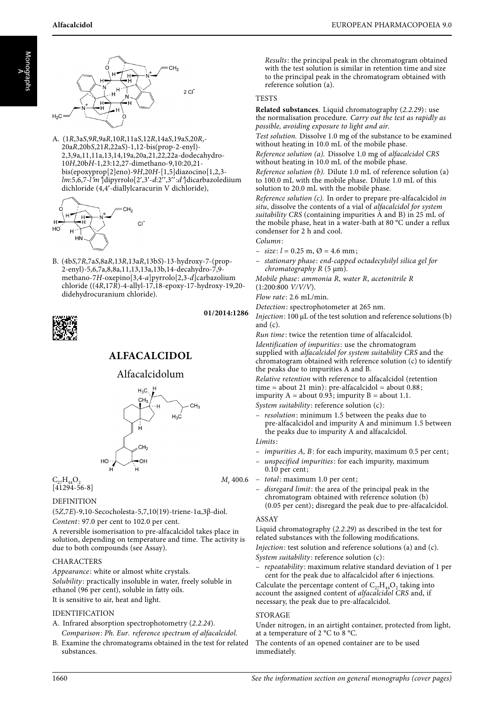



A. (1R,3aS,9R,9aR,10R,11aS,12R,14aS,19aS,20R,- 20aR,20bS,21R,22aS)-1,12-bis(prop-2-enyl)- 2,3,9a,11,11a,13,14,19a,20a,21,22,22a-dodecahydro-<sup>10</sup>H,20bH-1,23:12,27-dimethano-9,10:20,21 bis(epoxyprop[2]eno)-9H,20H-[1,5]diazocino[1,2,3  $lm:5,6,7-l'm$  Jdipyrrolo[2',3'-d:2'',3":d']dicarbazolediium dichloride (4,4-diallylcaracurin V dichloride),



B. (4bS,7R,7aS,8aR,13R,13aR,13bS)-13-hydroxy-7-(prop-2-enyl)-5,6,7a,8,8a,11,13,13a,13b,14-decahydro-7,9 methano-7H-oxepino[3,4-a]pyrrolo[2,3-d]carbazolium chloride ((4R,17R)-4-allyl-17,18-epoxy-17-hydroxy-19,20 didehydrocuranium chloride).



## **01/2014:1286**

# **ALFACALCIDOL**

## Alfacalcidolum



# $C_{27}H_{44}O_2$   $M_r$  400.6

## DEFINITION

(5Z,7E)-9,10-Secocholesta-5,7,10(19)-triene-1α,3β-diol. Content: 97.0 per cent to 102.0 per cent.

A reversible isomerisation to pre-alfacalcidol takes place in solution, depending on temperature and time. The activity is due to both compounds (see Assay).

#### CHARACTERS

Appearance: white or almost white crystals. Solubility: practically insoluble in water, freely soluble in ethanol (96 per cent), soluble in fatty oils. It is sensitive to air, heat and light.

## IDENTIFICATION

- A. Infrared absorption spectrophotometry (2.2.24). Comparison: Ph. Eur. reference spectrum of alfacalcidol.
- B. Examine the chromatograms obtained in the test for related substances.

Results: the principal peak in the chromatogram obtained with the test solution is similar in retention time and size to the principal peak in the chromatogram obtained with reference solution (a).

## **TESTS**

**Related substances**. Liquid chromatography (2.2.29): use the normalisation procedure. Carry out the test as rapidly as possible, avoiding exposure to light and air.

Test solution. Dissolve 1.0 mg of the substance to be examined<br>without heating in 10.0 mL of the mobile phase. without heating in 10.0 mL of the mobile phase.

Reference solution (a). Dissolve 1.0 mg of alfacalcidol CRS without heating in 10.0 mL of the mobile phase.

Reference solution (b). Dilute 1.0 mL of reference solution (a) to 100.0 mL with the mobile phase. Dilute 1.0 mL of this solution to 20.0 mL with the mobile phase.

Reference solution (c). In order to prepare pre-alfacalcidol in situ, dissolve the contents of a vial of alfacalcidol for system suitability CRS (containing impurities A and B) in 25 mL of the mobile phase, heat in a water-bath at 80 °C under a reflux condenser for 2 h and cool.

Column:

- $-$  size:  $l = 0.25$  m,  $\varnothing = 4.6$  mm;
- stationary phase : end-capped octadecylsilyl silica gel for chromatography  $R$  (5  $\mu$ m).

Mobile phase: ammonia R, water R, acetonitrile R  $(1:200:800 \text{ V/V/V}).$ 

 $Flow\ rate$ : 2.6 mL/min.

Detection: spectrophotometer at 265 nm.

Injection: 100 μL of the test solution and reference solutions (b) and  $(c)$ .

Run time : twice the retention time of alfacalcidol.

Identification of impurities: use the chromatogram supplied with alfacalcidol for system suitability CRS and the chromatogram obtained with reference solution (c) to identify the peaks due to impurities A and B.

Relative retention with reference to alfacalcidol (retention time = about 21 min): pre-alfacalcidol = about  $0.88$ ; impurity  $A = about 0.93$ ; impurity  $B = about 1.1$ .

System suitability: reference solution (c):

- resolution: minimum 1.5 between the peaks due to pre-alfacalcidol and impurity A and minimum 1.5 between the peaks due to impurity A and alfacalcidol.
- Limits:
- impurities A, B: for each impurity, maximum 0.5 per cent;
- unspecified impurities: for each impurity, maximum  $0.10$  per cent;

– total: maximum 1.0 per cent;

– disregard limit: the area of the principal peak in the chromatogram obtained with reference solution (b) (0.05 per cent); disregard the peak due to pre-alfacalcidol.

## ASSAY

Liquid chromatography (2.2.29) as described in the test for related substances with the following modifications. Injection: test solution and reference solutions (a) and (c). System suitability: reference solution (c):

– repeatability: maximum relative standard deviation of 1 per cent for the peak due to alfacalcidol after 6 injections.

Calculate the percentage content of  $C_{27}H_{44}O_2$  taking into account the assigned content of alfacalcidol CRS and, if necessary, the peak due to pre-alfacalcidol.

## STORAGE

Under nitrogen, in an airtight container, protected from light, at a temperature of 2 °C to 8 °C.

The contents of an opened container are to be used immediately.